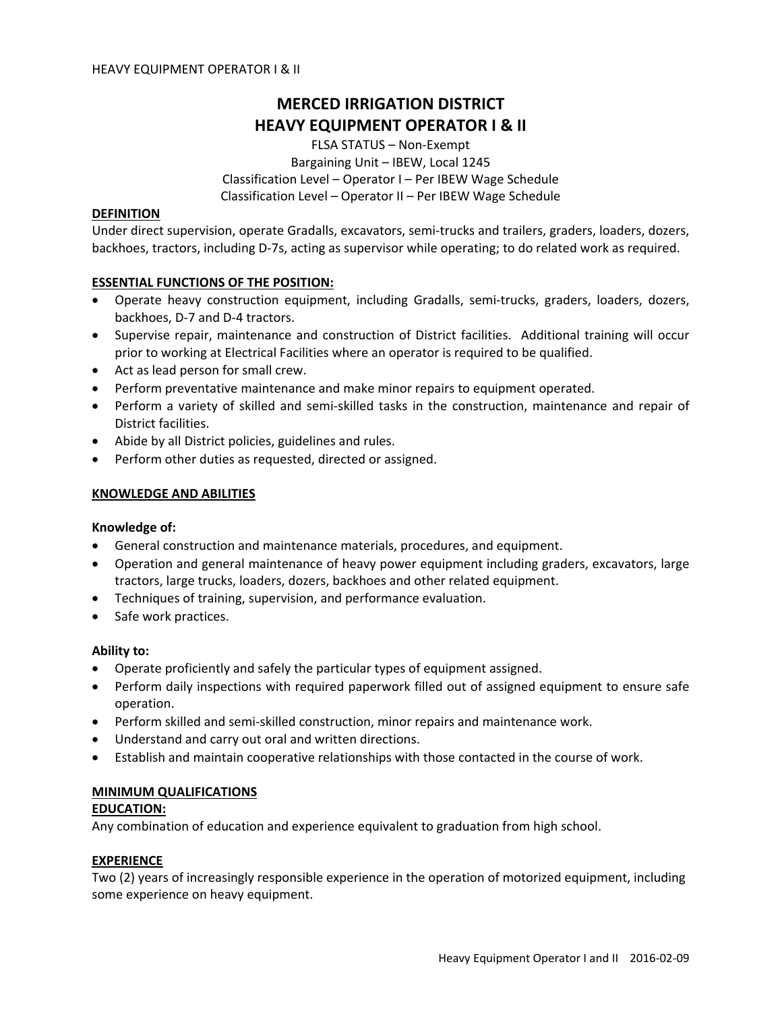# **MERCED IRRIGATION DISTRICT HEAVY EQUIPMENT OPERATOR I & II**

FLSA STATUS – Non‐Exempt Bargaining Unit – IBEW, Local 1245 Classification Level – Operator I – Per IBEW Wage Schedule Classification Level – Operator II – Per IBEW Wage Schedule

# **DEFINITION**

Under direct supervision, operate Gradalls, excavators, semi‐trucks and trailers, graders, loaders, dozers, backhoes, tractors, including D‐7s, acting as supervisor while operating; to do related work as required.

# **ESSENTIAL FUNCTIONS OF THE POSITION:**

- Operate heavy construction equipment, including Gradalls, semi-trucks, graders, loaders, dozers, backhoes, D‐7 and D‐4 tractors.
- Supervise repair, maintenance and construction of District facilities. Additional training will occur prior to working at Electrical Facilities where an operator is required to be qualified.
- Act as lead person for small crew.
- Perform preventative maintenance and make minor repairs to equipment operated.
- Perform a variety of skilled and semi‐skilled tasks in the construction, maintenance and repair of District facilities.
- Abide by all District policies, guidelines and rules.
- Perform other duties as requested, directed or assigned.

# **KNOWLEDGE AND ABILITIES**

#### **Knowledge of:**

- General construction and maintenance materials, procedures, and equipment.
- Operation and general maintenance of heavy power equipment including graders, excavators, large tractors, large trucks, loaders, dozers, backhoes and other related equipment.
- Techniques of training, supervision, and performance evaluation.
- Safe work practices.

#### **Ability to:**

- Operate proficiently and safely the particular types of equipment assigned.
- Perform daily inspections with required paperwork filled out of assigned equipment to ensure safe operation.
- Perform skilled and semi‐skilled construction, minor repairs and maintenance work.
- Understand and carry out oral and written directions.
- Establish and maintain cooperative relationships with those contacted in the course of work.

#### **MINIMUM QUALIFICATIONS**

#### **EDUCATION:**

Any combination of education and experience equivalent to graduation from high school.

#### **EXPERIENCE**

Two (2) years of increasingly responsible experience in the operation of motorized equipment, including some experience on heavy equipment.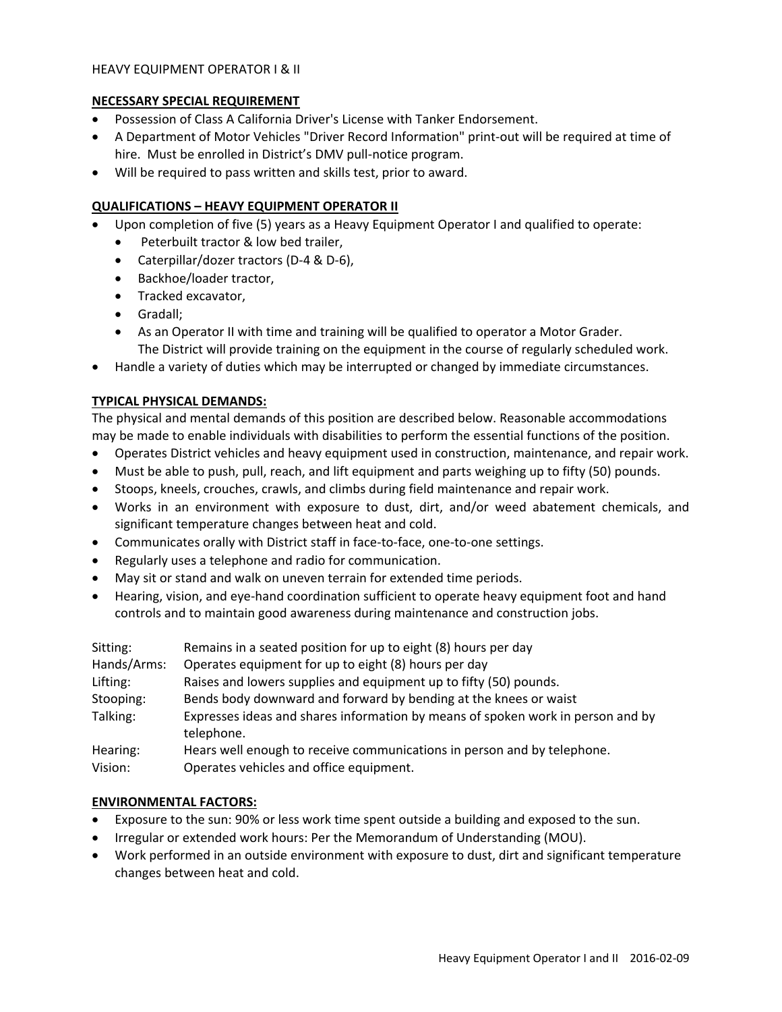# HEAVY EQUIPMENT OPERATOR I & II

# **NECESSARY SPECIAL REQUIREMENT**

- Possession of Class A California Driver's License with Tanker Endorsement.
- A Department of Motor Vehicles "Driver Record Information" print‐out will be required at time of hire. Must be enrolled in District's DMV pull-notice program.
- Will be required to pass written and skills test, prior to award.

# **QUALIFICATIONS – HEAVY EQUIPMENT OPERATOR II**

- Upon completion of five (5) years as a Heavy Equipment Operator I and qualified to operate:
	- Peterbuilt tractor & low bed trailer,
	- Caterpillar/dozer tractors (D‐4 & D‐6),
	- Backhoe/loader tractor,
	- Tracked excavator,
	- Gradall;
	- As an Operator II with time and training will be qualified to operator a Motor Grader. The District will provide training on the equipment in the course of regularly scheduled work.
- Handle a variety of duties which may be interrupted or changed by immediate circumstances.

# **TYPICAL PHYSICAL DEMANDS:**

The physical and mental demands of this position are described below. Reasonable accommodations may be made to enable individuals with disabilities to perform the essential functions of the position.

- Operates District vehicles and heavy equipment used in construction, maintenance, and repair work.
- Must be able to push, pull, reach, and lift equipment and parts weighing up to fifty (50) pounds.
- Stoops, kneels, crouches, crawls, and climbs during field maintenance and repair work.
- Works in an environment with exposure to dust, dirt, and/or weed abatement chemicals, and significant temperature changes between heat and cold.
- Communicates orally with District staff in face-to-face, one-to-one settings.
- Regularly uses a telephone and radio for communication.
- May sit or stand and walk on uneven terrain for extended time periods.
- Hearing, vision, and eye-hand coordination sufficient to operate heavy equipment foot and hand controls and to maintain good awareness during maintenance and construction jobs.

| Sitting:    | Remains in a seated position for up to eight (8) hours per day                                |
|-------------|-----------------------------------------------------------------------------------------------|
| Hands/Arms: | Operates equipment for up to eight (8) hours per day                                          |
| Lifting:    | Raises and lowers supplies and equipment up to fifty (50) pounds.                             |
| Stooping:   | Bends body downward and forward by bending at the knees or waist                              |
| Talking:    | Expresses ideas and shares information by means of spoken work in person and by<br>telephone. |
| Hearing:    | Hears well enough to receive communications in person and by telephone.                       |
| Vision:     | Operates vehicles and office equipment.                                                       |

#### **ENVIRONMENTAL FACTORS:**

- Exposure to the sun: 90% or less work time spent outside a building and exposed to the sun.
- Irregular or extended work hours: Per the Memorandum of Understanding (MOU).
- Work performed in an outside environment with exposure to dust, dirt and significant temperature changes between heat and cold.